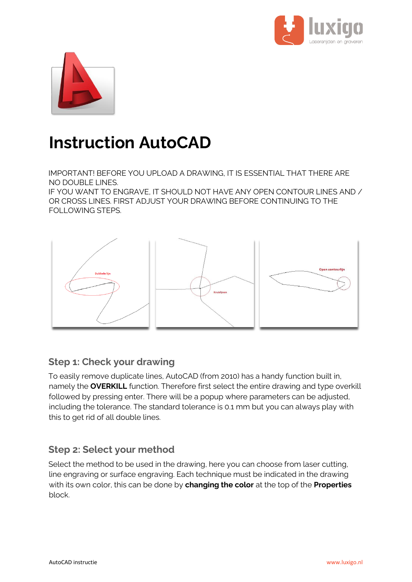



# **Instruction AutoCAD**

IMPORTANT! BEFORE YOU UPLOAD A DRAWING, IT IS ESSENTIAL THAT THERE ARE NO DOUBLE LINES.

IF YOU WANT TO ENGRAVE, IT SHOULD NOT HAVE ANY OPEN CONTOUR LINES AND / OR CROSS LINES. FIRST ADJUST YOUR DRAWING BEFORE CONTINUING TO THE FOLLOWING STEPS.



## **Step 1: Check your drawing**

To easily remove duplicate lines, AutoCAD (from 2010) has a handy function built in, namely the **OVERKILL** function. Therefore first select the entire drawing and type overkill followed by pressing enter. There will be a popup where parameters can be adjusted, including the tolerance. The standard tolerance is 0.1 mm but you can always play with this to get rid of all double lines.

## **Step 2: Select your method**

Select the method to be used in the drawing, here you can choose from laser cutting, line engraving or surface engraving. Each technique must be indicated in the drawing with its own color, this can be done by **changing the color** at the top of the **Properties** block.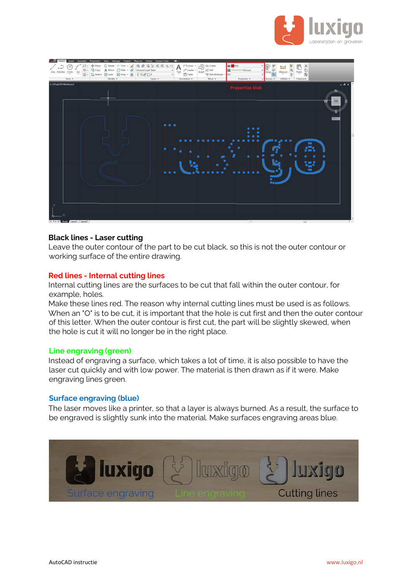



#### **Black lines - Laser cutting**

Leave the outer contour of the part to be cut black, so this is not the outer contour or working surface of the entire drawing.

#### **Red lines - Internal cutting lines**

Internal cutting lines are the surfaces to be cut that fall within the outer contour, for example, holes.

Make these lines red. The reason why internal cutting lines must be used is as follows. When an "O" is to be cut, it is important that the hole is cut first and then the outer contour of this letter. When the outer contour is first cut, the part will be slightly skewed, when the hole is cut it will no longer be in the right place.

#### **Line engraving (green)**

Instead of engraving a surface, which takes a lot of time, it is also possible to have the laser cut quickly and with low power. The material is then drawn as if it were. Make engraving lines green.

#### **Surface engraving (blue)**

The laser moves like a printer, so that a layer is always burned. As a result, the surface to be engraved is slightly sunk into the material. Make surfaces engraving areas blue.